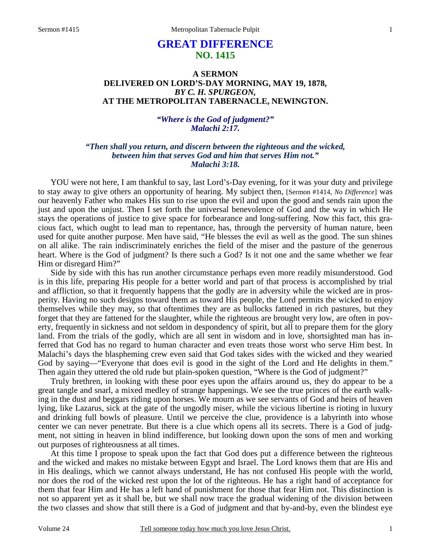# **GREAT DIFFERENCE NO. 1415**

## **A SERMON DELIVERED ON LORD'S-DAY MORNING, MAY 19, 1878,**  *BY C. H. SPURGEON,*  **AT THE METROPOLITAN TABERNACLE, NEWINGTON.**

### *"Where is the God of judgment?" Malachi 2:17.*

## *"Then shall you return, and discern between the righteous and the wicked, between him that serves God and him that serves Him not." Malachi 3:18.*

YOU were not here, I am thankful to say, last Lord's-Day evening, for it was your duty and privilege to stay away to give others an opportunity of hearing. My subject then, [Sermon #1414, *No Difference*] was our heavenly Father who makes His sun to rise upon the evil and upon the good and sends rain upon the just and upon the unjust. Then I set forth the universal benevolence of God and the way in which He stays the operations of justice to give space for forbearance and long-suffering. Now this fact, this gracious fact, which ought to lead man to repentance, has, through the perversity of human nature, been used for quite another purpose. Men have said, "He blesses the evil as well as the good. The sun shines on all alike. The rain indiscriminately enriches the field of the miser and the pasture of the generous heart. Where is the God of judgment? Is there such a God? Is it not one and the same whether we fear Him or disregard Him?"

Side by side with this has run another circumstance perhaps even more readily misunderstood. God is in this life, preparing His people for a better world and part of that process is accomplished by trial and affliction, so that it frequently happens that the godly are in adversity while the wicked are in prosperity. Having no such designs toward them as toward His people, the Lord permits the wicked to enjoy themselves while they may, so that oftentimes they are as bullocks fattened in rich pastures, but they forget that they are fattened for the slaughter, while the righteous are brought very low, are often in poverty, frequently in sickness and not seldom in despondency of spirit, but all to prepare them for the glory land. From the trials of the godly, which are all sent in wisdom and in love, shortsighted man has inferred that God has no regard to human character and even treats those worst who serve Him best. In Malachi's days the blaspheming crew even said that God takes sides with the wicked and they wearied God by saying—"Everyone that does evil is good in the sight of the Lord and He delights in them." Then again they uttered the old rude but plain-spoken question, "Where is the God of judgment?"

Truly brethren, in looking with these poor eyes upon the affairs around us, they do appear to be a great tangle and snarl, a mixed medley of strange happenings. We see the true princes of the earth walking in the dust and beggars riding upon horses. We mourn as we see servants of God and heirs of heaven lying, like Lazarus, sick at the gate of the ungodly miser, while the vicious libertine is rioting in luxury and drinking full bowls of pleasure. Until we perceive the clue, providence is a labyrinth into whose center we can never penetrate. But there is a clue which opens all its secrets. There is a God of judgment, not sitting in heaven in blind indifference, but looking down upon the sons of men and working out purposes of righteousness at all times.

At this time I propose to speak upon the fact that God does put a difference between the righteous and the wicked and makes no mistake between Egypt and Israel. The Lord knows them that are His and in His dealings, which we cannot always understand, He has not confused His people with the world, nor does the rod of the wicked rest upon the lot of the righteous. He has a right hand of acceptance for them that fear Him and He has a left hand of punishment for those that fear Him not. This distinction is not so apparent yet as it shall be, but we shall now trace the gradual widening of the division between the two classes and show that still there is a God of judgment and that by-and-by, even the blindest eye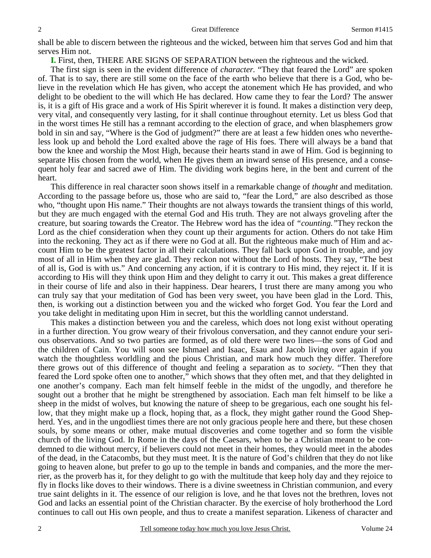shall be able to discern between the righteous and the wicked, between him that serves God and him that serves Him not.

**I.** First, then, THERE ARE SIGNS OF SEPARATION between the righteous and the wicked.

The first sign is seen in the evident difference of *character.* "They that feared the Lord" are spoken of. That is to say, there are still some on the face of the earth who believe that there is a God, who believe in the revelation which He has given, who accept the atonement which He has provided, and who delight to be obedient to the will which He has declared. How came they to fear the Lord? The answer is, it is a gift of His grace and a work of His Spirit wherever it is found. It makes a distinction very deep, very vital, and consequently very lasting, for it shall continue throughout eternity. Let us bless God that in the worst times He still has a remnant according to the election of grace, and when blasphemers grow bold in sin and say, "Where is the God of judgment?" there are at least a few hidden ones who nevertheless look up and behold the Lord exalted above the rage of His foes. There will always be a band that bow the knee and worship the Most High, because their hearts stand in awe of Him. God is beginning to separate His chosen from the world, when He gives them an inward sense of His presence, and a consequent holy fear and sacred awe of Him. The dividing work begins here, in the bent and current of the heart.

This difference in real character soon shows itself in a remarkable change of *thought* and meditation. According to the passage before us, those who are said to, "fear the Lord," are also described as those who, "thought upon His name." Their thoughts are not always towards the transient things of this world, but they are much engaged with the eternal God and His truth. They are not always groveling after the creature, but soaring towards the Creator. The Hebrew word has the idea of *"counting."*They reckon the Lord as the chief consideration when they count up their arguments for action. Others do not take Him into the reckoning. They act as if there were no God at all. But the righteous make much of Him and account Him to be the greatest factor in all their calculations. They fall back upon God in trouble, and joy most of all in Him when they are glad. They reckon not without the Lord of hosts. They say, "The best of all is, God is with us." And concerning any action, if it is contrary to His mind, they reject it. If it is according to His will they think upon Him and they delight to carry it out. This makes a great difference in their course of life and also in their happiness. Dear hearers, I trust there are many among you who can truly say that your meditation of God has been very sweet, you have been glad in the Lord. This, then, is working out a distinction between you and the wicked who forget God. You fear the Lord and you take delight in meditating upon Him in secret, but this the worldling cannot understand.

This makes a distinction between you and the careless, which does not long exist without operating in a further direction. You grow weary of their frivolous conversation, and they cannot endure your serious observations. And so two parties are formed, as of old there were two lines—the sons of God and the children of Cain. You will soon see Ishmael and Isaac, Esau and Jacob living over again if you watch the thoughtless worldling and the pious Christian, and mark how much they differ. Therefore there grows out of this difference of thought and feeling a separation as to *society*. "Then they that feared the Lord spoke often one to another," which shows that they often met, and that they delighted in one another's company. Each man felt himself feeble in the midst of the ungodly, and therefore he sought out a brother that he might be strengthened by association. Each man felt himself to be like a sheep in the midst of wolves, but knowing the nature of sheep to be gregarious, each one sought his fellow, that they might make up a flock, hoping that, as a flock, they might gather round the Good Shepherd. Yes, and in the ungodliest times there are not only gracious people here and there, but these chosen souls, by some means or other, make mutual discoveries and come together and so form the visible church of the living God. In Rome in the days of the Caesars, when to be a Christian meant to be condemned to die without mercy, if believers could not meet in their homes, they would meet in the abodes of the dead, in the Catacombs, but they must meet. It is the nature of God's children that they do not like going to heaven alone, but prefer to go up to the temple in bands and companies, and the more the merrier, as the proverb has it, for they delight to go with the multitude that keep holy day and they rejoice to fly in flocks like doves to their windows. There is a divine sweetness in Christian communion, and every true saint delights in it. The essence of our religion is love, and he that loves not the brethren, loves not God and lacks an essential point of the Christian character. By the exercise of holy brotherhood the Lord continues to call out His own people, and thus to create a manifest separation. Likeness of character and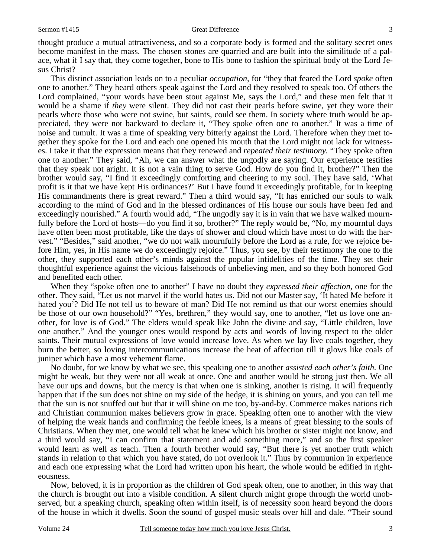#### Sermon #1415 Great Difference

thought produce a mutual attractiveness, and so a corporate body is formed and the solitary secret ones become manifest in the mass. The chosen stones are quarried and are built into the similitude of a palace, what if I say that, they come together, bone to His bone to fashion the spiritual body of the Lord Jesus Christ?

This distinct association leads on to a peculiar *occupation,* for "they that feared the Lord *spoke* often one to another." They heard others speak against the Lord and they resolved to speak too. Of others the Lord complained, "your words have been stout against Me, says the Lord," and these men felt that it would be a shame if *they* were silent. They did not cast their pearls before swine, yet they wore their pearls where those who were not swine, but saints, could see them. In society where truth would be appreciated, they were not backward to declare it, "They spoke often one to another." It was a time of noise and tumult. It was a time of speaking very bitterly against the Lord. Therefore when they met together they spoke for the Lord and each one opened his mouth that the Lord might not lack for witnesses. I take it that the expression means that they renewed and *repeated their testimony.* "They spoke often one to another." They said, "Ah, we can answer what the ungodly are saying. Our experience testifies that they speak not aright. It is not a vain thing to serve God. How do you find it, brother?" Then the brother would say, "I find it exceedingly comforting and cheering to my soul. They have said, 'What profit is it that we have kept His ordinances?' But I have found it exceedingly profitable, for in keeping His commandments there is great reward." Then a third would say, "It has enriched our souls to walk according to the mind of God and in the blessed ordinances of His house our souls have been fed and exceedingly nourished." A fourth would add, "The ungodly say it is in vain that we have walked mournfully before the Lord of hosts—do you find it so, brother?" The reply would be, "No, my mournful days have often been most profitable, like the days of shower and cloud which have most to do with the harvest." "Besides," said another, "we do not walk mournfully before the Lord as a rule, for we rejoice before Him, yes, in His name we do exceedingly rejoice." Thus, you see, by their testimony the one to the other, they supported each other's minds against the popular infidelities of the time. They set their thoughtful experience against the vicious falsehoods of unbelieving men, and so they both honored God and benefited each other.

When they "spoke often one to another" I have no doubt they *expressed their affection,* one for the other. They said, "Let us not marvel if the world hates us. Did not our Master say, 'It hated Me before it hated you'? Did He not tell us to beware of man? Did He not remind us that our worst enemies should be those of our own household?" "Yes, brethren," they would say, one to another, "let us love one another, for love is of God." The elders would speak like John the divine and say, "Little children, love one another." And the younger ones would respond by acts and words of loving respect to the older saints. Their mutual expressions of love would increase love. As when we lay live coals together, they burn the better, so loving intercommunications increase the heat of affection till it glows like coals of juniper which have a most vehement flame.

No doubt, for we know by what we see, this speaking one to another *assisted each other's faith.* One might be weak, but they were not all weak at once. One and another would be strong just then. We all have our ups and downs, but the mercy is that when one is sinking, another is rising. It will frequently happen that if the sun does not shine on my side of the hedge, it is shining on yours, and you can tell me that the sun is not snuffed out but that it will shine on me too, by-and-by. Commerce makes nations rich and Christian communion makes believers grow in grace. Speaking often one to another with the view of helping the weak hands and confirming the feeble knees, is a means of great blessing to the souls of Christians. When they met, one would tell what he knew which his brother or sister might not know, and a third would say, "I can confirm that statement and add something more," and so the first speaker would learn as well as teach. Then a fourth brother would say, "But there is yet another truth which stands in relation to that which you have stated, do not overlook it." Thus by communion in experience and each one expressing what the Lord had written upon his heart, the whole would be edified in righteousness.

Now, beloved, it is in proportion as the children of God speak often, one to another, in this way that the church is brought out into a visible condition. A silent church might grope through the world unobserved, but a speaking church, speaking often within itself, is of necessity soon heard beyond the doors of the house in which it dwells. Soon the sound of gospel music steals over hill and dale. "Their sound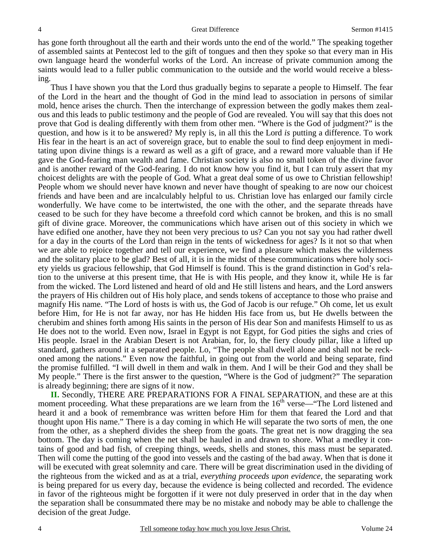has gone forth throughout all the earth and their words unto the end of the world." The speaking together of assembled saints at Pentecost led to the gift of tongues and then they spoke so that every man in His own language heard the wonderful works of the Lord. An increase of private communion among the saints would lead to a fuller public communication to the outside and the world would receive a blessing.

Thus I have shown you that the Lord thus gradually begins to separate a people to Himself. The fear of the Lord in the heart and the thought of God in the mind lead to association in persons of similar mold, hence arises the church. Then the interchange of expression between the godly makes them zealous and this leads to public testimony and the people of God are revealed. You will say that this does not prove that God is dealing differently with them from other men. "Where is the God of judgment?" is the question, and how is it to be answered? My reply is, in all this the Lord *is* putting a difference. To work His fear in the heart is an act of sovereign grace, but to enable the soul to find deep enjoyment in meditating upon divine things is a reward as well as a gift of grace, and a reward more valuable than if He gave the God-fearing man wealth and fame. Christian society is also no small token of the divine favor and is another reward of the God-fearing. I do not know how you find it, but I can truly assert that my choicest delights are with the people of God. What a great deal some of us owe to Christian fellowship! People whom we should never have known and never have thought of speaking to are now our choicest friends and have been and are incalculably helpful to us. Christian love has enlarged our family circle wonderfully. We have come to be intertwisted, the one with the other, and the separate threads have ceased to be such for they have become a threefold cord which cannot be broken, and this is no small gift of divine grace. Moreover, the communications which have arisen out of this society in which we have edified one another, have they not been very precious to us? Can you not say you had rather dwell for a day in the courts of the Lord than reign in the tents of wickedness for ages? Is it not so that when we are able to rejoice together and tell our experience, we find a pleasure which makes the wilderness and the solitary place to be glad? Best of all, it is in the midst of these communications where holy society yields us gracious fellowship, that God Himself is found. This is the grand distinction in God's relation to the universe at this present time, that He is with His people, and they know it, while He is far from the wicked. The Lord listened and heard of old and He still listens and hears, and the Lord answers the prayers of His children out of His holy place, and sends tokens of acceptance to those who praise and magnify His name. "The Lord of hosts is with us, the God of Jacob is our refuge." Oh come, let us exult before Him, for He is not far away, nor has He hidden His face from us, but He dwells between the cherubim and shines forth among His saints in the person of His dear Son and manifests Himself to us as He does not to the world. Even now, Israel in Egypt is not Egypt, for God pities the sighs and cries of His people. Israel in the Arabian Desert is not Arabian, for, lo, the fiery cloudy pillar, like a lifted up standard, gathers around it a separated people. Lo, "The people shall dwell alone and shall not be reckoned among the nations." Even now the faithful, in going out from the world and being separate, find the promise fulfilled. "I will dwell in them and walk in them. And I will be their God and they shall be My people." There is the first answer to the question, "Where is the God of judgment?" The separation is already beginning; there are signs of it now.

**II.** Secondly, THERE ARE PREPARATIONS FOR A FINAL SEPARATION, and these are at this moment proceeding. What these preparations are we learn from the  $16<sup>th</sup>$  verse—"The Lord listened and heard it and a book of remembrance was written before Him for them that feared the Lord and that thought upon His name." There is a day coming in which He will separate the two sorts of men, the one from the other, as a shepherd divides the sheep from the goats. The great net is now dragging the sea bottom. The day is coming when the net shall be hauled in and drawn to shore. What a medley it contains of good and bad fish, of creeping things, weeds, shells and stones, this mass must be separated. Then will come the putting of the good into vessels and the casting of the bad away. When that is done it will be executed with great solemnity and care. There will be great discrimination used in the dividing of the righteous from the wicked and as at a trial, *everything proceeds upon evidence,* the separating work is being prepared for us every day, because the evidence is being collected and recorded. The evidence in favor of the righteous might be forgotten if it were not duly preserved in order that in the day when the separation shall be consummated there may be no mistake and nobody may be able to challenge the decision of the great Judge.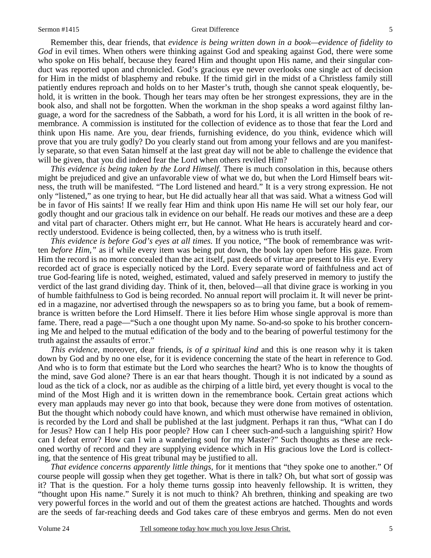#### Sermon #1415 Great Difference

Remember this, dear friends, that *evidence is being written down in a book—evidence of fidelity to*  God in evil times. When others were thinking against God and speaking against God, there were some who spoke on His behalf, because they feared Him and thought upon His name, and their singular conduct was reported upon and chronicled. God's gracious eye never overlooks one single act of decision for Him in the midst of blasphemy and rebuke. If the timid girl in the midst of a Christless family still patiently endures reproach and holds on to her Master's truth, though she cannot speak eloquently, behold, it is written in the book. Though her tears may often be her strongest expressions, they are in the book also, and shall not be forgotten. When the workman in the shop speaks a word against filthy language, a word for the sacredness of the Sabbath, a word for his Lord, it is all written in the book of remembrance. A commission is instituted for the collection of evidence as to those that fear the Lord and think upon His name. Are you, dear friends, furnishing evidence, do you think, evidence which will prove that you are truly godly? Do you clearly stand out from among your fellows and are you manifestly separate, so that even Satan himself at the last great day will not be able to challenge the evidence that will be given, that you did indeed fear the Lord when others reviled Him?

*This evidence is being taken by the Lord Himself.* There is much consolation in this, because others might be prejudiced and give an unfavorable view of what we do, but when the Lord Himself bears witness, the truth will be manifested. "The Lord listened and heard." It is a very strong expression. He not only "listened," as one trying to hear, but He did actually hear all that was said. What a witness God will be in favor of His saints! If we really fear Him and think upon His name He will set our holy fear, our godly thought and our gracious talk in evidence on our behalf. He reads our motives and these are a deep and vital part of character. Others might err, but He cannot. What He hears is accurately heard and correctly understood. Evidence is being collected, then, by a witness who is truth itself.

*This evidence is before God's eyes at all times.* If you notice, "The book of remembrance was written *before Him,"* as if while every item was being put down, the book lay open before His gaze. From Him the record is no more concealed than the act itself, past deeds of virtue are present to His eye. Every recorded act of grace is especially noticed by the Lord. Every separate word of faithfulness and act of true God-fearing life is noted, weighed, estimated, valued and safely preserved in memory to justify the verdict of the last grand dividing day. Think of it, then, beloved—all that divine grace is working in you of humble faithfulness to God is being recorded. No annual report will proclaim it. It will never be printed in a magazine, nor advertised through the newspapers so as to bring you fame, but a book of remembrance is written before the Lord Himself. There it lies before Him whose single approval is more than fame. There, read a page—"Such a one thought upon My name. So-and-so spoke to his brother concerning Me and helped to the mutual edification of the body and to the bearing of powerful testimony for the truth against the assaults of error."

*This evidence,* moreover, dear friends, *is of a spiritual kind* and this is one reason why it is taken down by God and by no one else, for it is evidence concerning the state of the heart in reference to God. And who is to form that estimate but the Lord who searches the heart? Who is to know the thoughts of the mind, save God alone? There is an ear that hears thought. Though it is not indicated by a sound as loud as the tick of a clock, nor as audible as the chirping of a little bird, yet every thought is vocal to the mind of the Most High and it is written down in the remembrance book. Certain great actions which every man applauds may never go into that book, because they were done from motives of ostentation. But the thought which nobody could have known, and which must otherwise have remained in oblivion, is recorded by the Lord and shall be published at the last judgment. Perhaps it ran thus, "What can I do for Jesus? How can I help His poor people? How can I cheer such-and-such a languishing spirit? How can I defeat error? How can I win a wandering soul for my Master?" Such thoughts as these are reckoned worthy of record and they are supplying evidence which in His gracious love the Lord is collecting, that the sentence of His great tribunal may be justified to all.

*That evidence concerns apparently little things,* for it mentions that "they spoke one to another." Of course people will gossip when they get together. What is there in talk? Oh, but what sort of gossip was it? That is the question. For a holy theme turns gossip into heavenly fellowship. It is written, they "thought upon His name." Surely it is not much to think? Ah brethren, thinking and speaking are two very powerful forces in the world and out of them the greatest actions are hatched. Thoughts and words are the seeds of far-reaching deeds and God takes care of these embryos and germs. Men do not even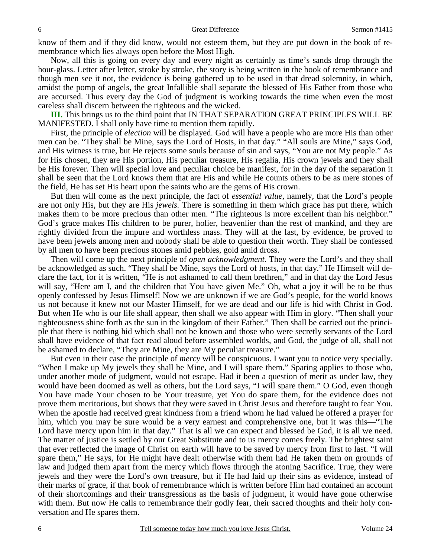know of them and if they did know, would not esteem them, but they are put down in the book of remembrance which lies always open before the Most High.

Now, all this is going on every day and every night as certainly as time's sands drop through the hour-glass. Letter after letter, stroke by stroke, the story is being written in the book of remembrance and though men see it not, the evidence is being gathered up to be used in that dread solemnity, in which, amidst the pomp of angels, the great Infallible shall separate the blessed of His Father from those who are accursed. Thus every day the God of judgment is working towards the time when even the most careless shall discern between the righteous and the wicked.

**III.** This brings us to the third point that IN THAT SEPARATION GREAT PRINCIPLES WILL BE MANIFESTED. I shall only have time to mention them rapidly.

First, the principle of *election* will be displayed. God will have a people who are more His than other men can be. "They shall be Mine, says the Lord of Hosts, in that day." "All souls are Mine," says God, and His witness is true, but He rejects some souls because of sin and says, "You are not My people." As for His chosen, they are His portion, His peculiar treasure, His regalia, His crown jewels and they shall be His forever. Then will special love and peculiar choice be manifest, for in the day of the separation it shall be seen that the Lord knows them that are His and while He counts others to be as mere stones of the field, He has set His heart upon the saints who are the gems of His crown.

But then will come as the next principle, the fact of *essential value*, namely, that the Lord's people are not only His, but they are His *jewels.* There is something in them which grace has put there, which makes them to be more precious than other men. "The righteous is more excellent than his neighbor." God's grace makes His children to be purer, holier, heavenlier than the rest of mankind, and they are rightly divided from the impure and worthless mass. They will at the last, by evidence, be proved to have been jewels among men and nobody shall be able to question their worth. They shall be confessed by all men to have been precious stones amid pebbles, gold amid dross.

Then will come up the next principle of *open acknowledgment.* They were the Lord's and they shall be acknowledged as such. "They shall be Mine, says the Lord of hosts, in that day." He Himself will declare the fact, for it is written, "He is not ashamed to call them brethren," and in that day the Lord Jesus will say, "Here am I, and the children that You have given Me." Oh, what a joy it will be to be thus openly confessed by Jesus Himself! Now we are unknown if we are God's people, for the world knows us not because it knew not our Master Himself, for we are dead and our life is hid with Christ in God. But when He who is our life shall appear, then shall we also appear with Him in glory. "Then shall your righteousness shine forth as the sun in the kingdom of their Father." Then shall be carried out the principle that there is nothing hid which shall not be known and those who were secretly servants of the Lord shall have evidence of that fact read aloud before assembled worlds, and God, the judge of all, shall not be ashamed to declare, "They are Mine, they are My peculiar treasure."

But even in their case the principle of *mercy* will be conspicuous. I want you to notice very specially. "When I make up My jewels they shall be Mine, and I will spare them." Sparing applies to those who, under another mode of judgment, would not escape. Had it been a question of merit as under law, they would have been doomed as well as others, but the Lord says, "I will spare them." O God, even though You have made Your chosen to be Your treasure, yet You do spare them, for the evidence does not prove them meritorious, but shows that they were saved in Christ Jesus and therefore taught to fear You. When the apostle had received great kindness from a friend whom he had valued he offered a prayer for him, which you may be sure would be a very earnest and comprehensive one, but it was this—"The Lord have mercy upon him in that day." That is all we can expect and blessed be God, it is all we need. The matter of justice is settled by our Great Substitute and to us mercy comes freely. The brightest saint that ever reflected the image of Christ on earth will have to be saved by mercy from first to last. "I will spare them," He says, for He might have dealt otherwise with them had He taken them on grounds of law and judged them apart from the mercy which flows through the atoning Sacrifice. True, they were jewels and they were the Lord's own treasure, but if He had laid up their sins as evidence, instead of their marks of grace, if that book of remembrance which is written before Him had contained an account of their shortcomings and their transgressions as the basis of judgment, it would have gone otherwise with them. But now He calls to remembrance their godly fear, their sacred thoughts and their holy conversation and He spares them.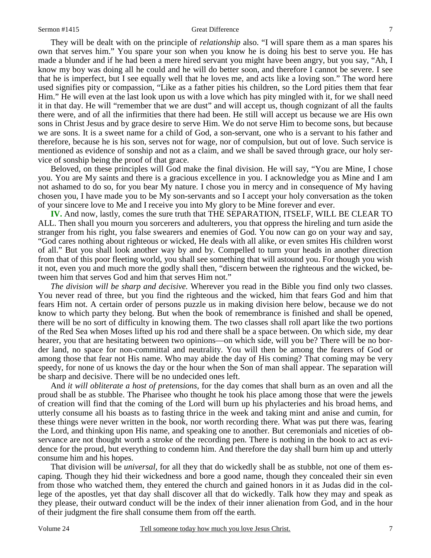#### Sermon #1415 Great Difference

They will be dealt with on the principle of *relationship* also. "I will spare them as a man spares his own that serves him." You spare your son when you know he is doing his best to serve you. He has made a blunder and if he had been a mere hired servant you might have been angry, but you say, "Ah, I know my boy was doing all he could and he will do better soon, and therefore I cannot be severe. I see that he is imperfect, but I see equally well that he loves me, and acts like a loving son." The word here used signifies pity or compassion, "Like as a father pities his children, so the Lord pities them that fear Him." He will even at the last look upon us with a love which has pity mingled with it, for we shall need it in that day. He will "remember that we are dust" and will accept us, though cognizant of all the faults there were, and of all the infirmities that there had been. He still will accept us because we are His own sons in Christ Jesus and by grace desire to serve Him. We do not serve Him to become sons, but because we are sons. It is a sweet name for a child of God, a son-servant, one who is a servant to his father and therefore, because he is his son, serves not for wage, nor of compulsion, but out of love. Such service is mentioned as evidence of sonship and not as a claim, and we shall be saved through grace, our holy service of sonship being the proof of that grace.

Beloved, on these principles will God make the final division. He will say, "You are Mine, I chose you. You are My saints and there is a gracious excellence in you. I acknowledge you as Mine and I am not ashamed to do so, for you bear My nature. I chose you in mercy and in consequence of My having chosen you, I have made you to be My son-servants and so I accept your holy conversation as the token of your sincere love to Me and I receive you into My glory to be Mine forever and ever.

**IV.** And now, lastly, comes the sure truth that THE SEPARATION, ITSELF, WILL BE CLEAR TO ALL. Then shall you mourn you sorcerers and adulterers, you that oppress the hireling and turn aside the stranger from his right, you false swearers and enemies of God. You now can go on your way and say, "God cares nothing about righteous or wicked, He deals with all alike, or even smites His children worst of all." But you shall look another way by and by. Compelled to turn your heads in another direction from that of this poor fleeting world, you shall see something that will astound you. For though you wish it not, even you and much more the godly shall then, "discern between the righteous and the wicked, between him that serves God and him that serves Him not."

*The division will be sharp and decisive.* Wherever you read in the Bible you find only two classes. You never read of three, but you find the righteous and the wicked, him that fears God and him that fears Him not. A certain order of persons puzzle us in making division here below, because we do not know to which party they belong. But when the book of remembrance is finished and shall be opened, there will be no sort of difficulty in knowing them. The two classes shall roll apart like the two portions of the Red Sea when Moses lifted up his rod and there shall be a space between. On which side, my dear hearer, you that are hesitating between two opinions—on which side, will you be? There will be no border land, no space for non-committal and neutrality. You will then be among the fearers of God or among those that fear not His name. Who may abide the day of His coming? That coming may be very speedy, for none of us knows the day or the hour when the Son of man shall appear. The separation will be sharp and decisive. There will be no undecided ones left.

And *it will obliterate a host of pretensions,* for the day comes that shall burn as an oven and all the proud shall be as stubble. The Pharisee who thought he took his place among those that were the jewels of creation will find that the coming of the Lord will burn up his phylacteries and his broad hems, and utterly consume all his boasts as to fasting thrice in the week and taking mint and anise and cumin, for these things were never written in the book, nor worth recording there. What was put there was, fearing the Lord, and thinking upon His name, and speaking one to another. But ceremonials and niceties of observance are not thought worth a stroke of the recording pen. There is nothing in the book to act as evidence for the proud, but everything to condemn him. And therefore the day shall burn him up and utterly consume him and his hopes.

That division will be *universal,* for all they that do wickedly shall be as stubble, not one of them escaping. Though they hid their wickedness and bore a good name, though they concealed their sin even from those who watched them, they entered the church and gained honors in it as Judas did in the college of the apostles, yet that day shall discover all that do wickedly. Talk how they may and speak as they please, their outward conduct will be the index of their inner alienation from God, and in the hour of their judgment the fire shall consume them from off the earth.